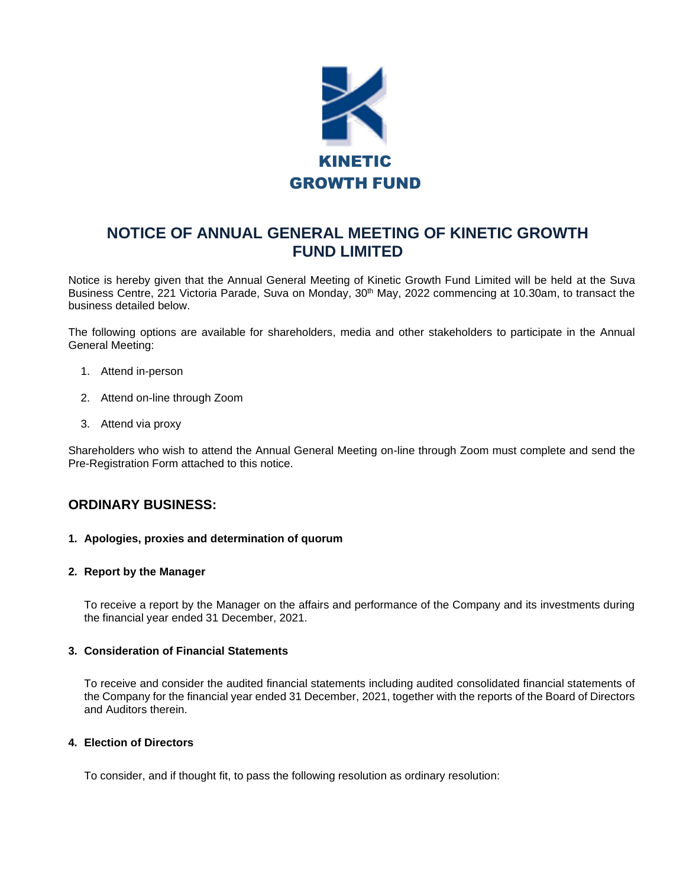

# **NOTICE OF ANNUAL GENERAL MEETING OF KINETIC GROWTH FUND LIMITED**

Notice is hereby given that the Annual General Meeting of Kinetic Growth Fund Limited will be held at the Suva Business Centre, 221 Victoria Parade, Suva on Monday, 30<sup>th</sup> May, 2022 commencing at 10.30am, to transact the business detailed below.

The following options are available for shareholders, media and other stakeholders to participate in the Annual General Meeting:

- 1. Attend in-person
- 2. Attend on-line through Zoom
- 3. Attend via proxy

Shareholders who wish to attend the Annual General Meeting on-line through Zoom must complete and send the Pre-Registration Form attached to this notice.

### **ORDINARY BUSINESS:**

#### **1. Apologies, proxies and determination of quorum**

#### **2. Report by the Manager**

To receive a report by the Manager on the affairs and performance of the Company and its investments during the financial year ended 31 December, 2021.

#### **3. Consideration of Financial Statements**

To receive and consider the audited financial statements including audited consolidated financial statements of the Company for the financial year ended 31 December, 2021, together with the reports of the Board of Directors and Auditors therein.

#### **4. Election of Directors**

To consider, and if thought fit, to pass the following resolution as ordinary resolution: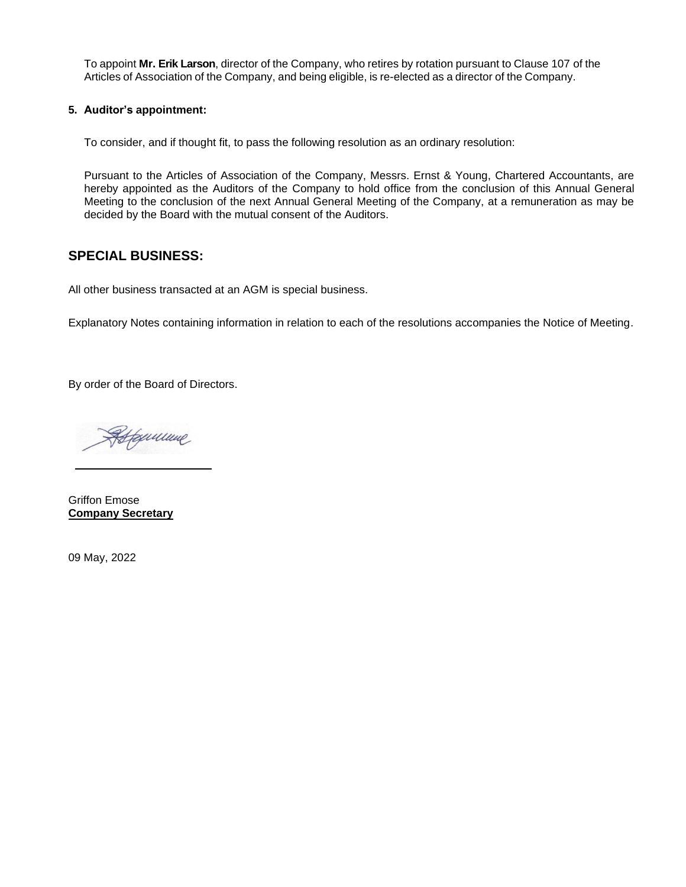To appoint **Mr. Erik Larson**, director of the Company, who retires by rotation pursuant to Clause 107 of the Articles of Association of the Company, and being eligible, is re-elected as a director of the Company.

#### **5. Auditor's appointment:**

To consider, and if thought fit, to pass the following resolution as an ordinary resolution:

Pursuant to the Articles of Association of the Company, Messrs. Ernst & Young, Chartered Accountants, are hereby appointed as the Auditors of the Company to hold office from the conclusion of this Annual General Meeting to the conclusion of the next Annual General Meeting of the Company, at a remuneration as may be decided by the Board with the mutual consent of the Auditors.

# **SPECIAL BUSINESS:**

All other business transacted at an AGM is special business.

Explanatory Notes containing information in relation to each of the resolutions accompanies the Notice of Meeting.

By order of the Board of Directors.

Hexiciane

Griffon Emose **Company Secretary**

09 May, 2022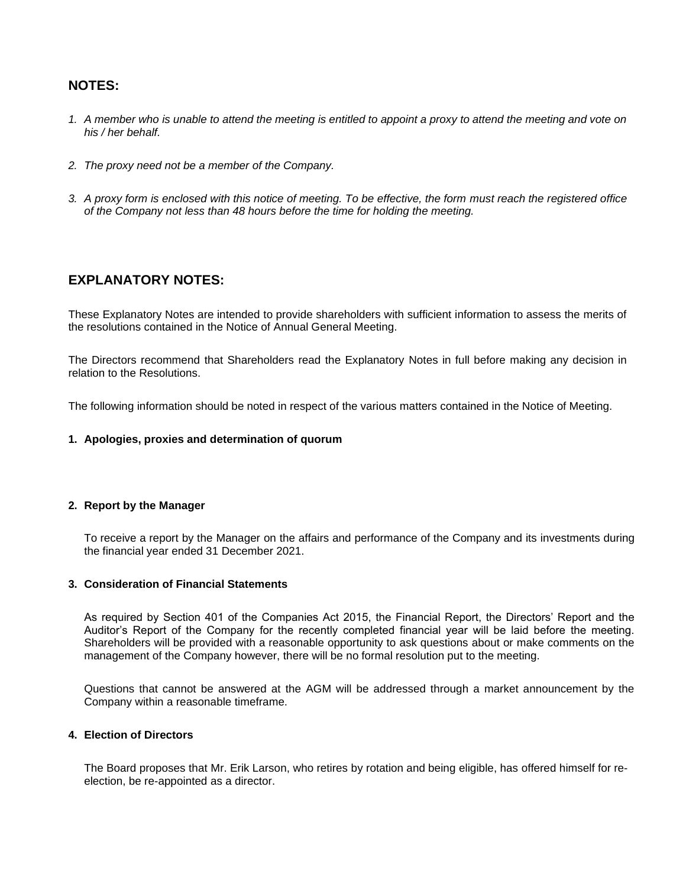# **NOTES:**

- *1. A member who is unable to attend the meeting is entitled to appoint a proxy to attend the meeting and vote on his / her behalf.*
- *2. The proxy need not be a member of the Company.*
- *3. A proxy form is enclosed with this notice of meeting. To be effective, the form must reach the registered office of the Company not less than 48 hours before the time for holding the meeting.*

## **EXPLANATORY NOTES:**

These Explanatory Notes are intended to provide shareholders with sufficient information to assess the merits of the resolutions contained in the Notice of Annual General Meeting.

The Directors recommend that Shareholders read the Explanatory Notes in full before making any decision in relation to the Resolutions.

The following information should be noted in respect of the various matters contained in the Notice of Meeting.

#### **1. Apologies, proxies and determination of quorum**

#### **2. Report by the Manager**

To receive a report by the Manager on the affairs and performance of the Company and its investments during the financial year ended 31 December 2021.

#### **3. Consideration of Financial Statements**

As required by Section 401 of the Companies Act 2015, the Financial Report, the Directors' Report and the Auditor's Report of the Company for the recently completed financial year will be laid before the meeting. Shareholders will be provided with a reasonable opportunity to ask questions about or make comments on the management of the Company however, there will be no formal resolution put to the meeting.

Questions that cannot be answered at the AGM will be addressed through a market announcement by the Company within a reasonable timeframe.

#### **4. Election of Directors**

The Board proposes that Mr. Erik Larson, who retires by rotation and being eligible, has offered himself for reelection, be re-appointed as a director.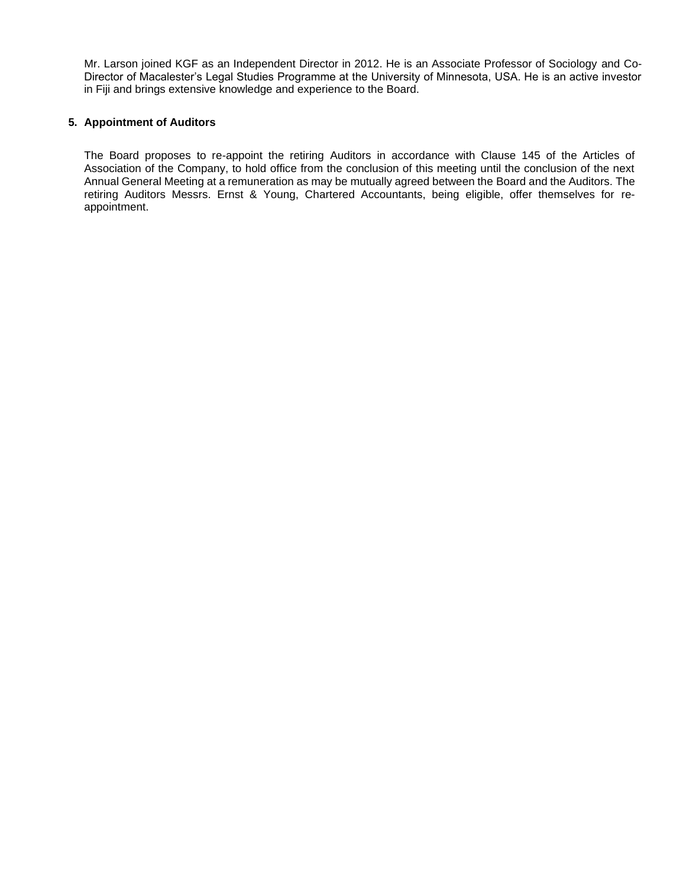Mr. Larson joined KGF as an Independent Director in 2012. He is an Associate Professor of Sociology and Co-Director of Macalester's Legal Studies Programme at the University of Minnesota, USA. He is an active investor in Fiji and brings extensive knowledge and experience to the Board.

#### **5. Appointment of Auditors**

The Board proposes to re-appoint the retiring Auditors in accordance with Clause 145 of the Articles of Association of the Company, to hold office from the conclusion of this meeting until the conclusion of the next Annual General Meeting at a remuneration as may be mutually agreed between the Board and the Auditors. The retiring Auditors Messrs. Ernst & Young, Chartered Accountants, being eligible, offer themselves for reappointment.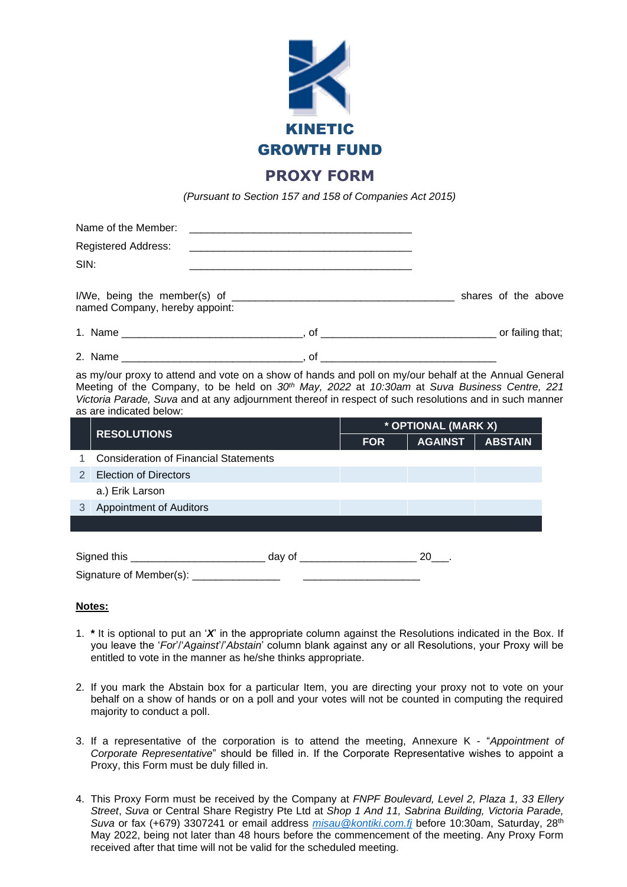

*(Pursuant to Section 157 and 158 of Companies Act 2015)*

|                                                                                                                                                                                                                                                                                                                                              | Name of the Member:<br><u> 1980 - John Stein, Amerikaansk politiker (</u> |  |                     |  |                   |  |  |
|----------------------------------------------------------------------------------------------------------------------------------------------------------------------------------------------------------------------------------------------------------------------------------------------------------------------------------------------|---------------------------------------------------------------------------|--|---------------------|--|-------------------|--|--|
|                                                                                                                                                                                                                                                                                                                                              | Registered Address:                                                       |  |                     |  |                   |  |  |
| SIN:                                                                                                                                                                                                                                                                                                                                         |                                                                           |  |                     |  |                   |  |  |
|                                                                                                                                                                                                                                                                                                                                              | named Company, hereby appoint:                                            |  |                     |  |                   |  |  |
|                                                                                                                                                                                                                                                                                                                                              |                                                                           |  |                     |  |                   |  |  |
|                                                                                                                                                                                                                                                                                                                                              |                                                                           |  |                     |  |                   |  |  |
| as my/our proxy to attend and vote on a show of hands and poll on my/our behalf at the Annual General<br>Meeting of the Company, to be held on $30th$ May, 2022 at 10:30am at Suva Business Centre, 221<br>Victoria Parade, Suva and at any adjournment thereof in respect of such resolutions and in such manner<br>as are indicated below: |                                                                           |  |                     |  |                   |  |  |
|                                                                                                                                                                                                                                                                                                                                              | <b>RESOLUTIONS</b>                                                        |  | * OPTIONAL (MARK X) |  |                   |  |  |
|                                                                                                                                                                                                                                                                                                                                              |                                                                           |  | <b>FOR</b>          |  | AGAINST   ABSTAIN |  |  |
| 1                                                                                                                                                                                                                                                                                                                                            | <b>Consideration of Financial Statements</b>                              |  |                     |  |                   |  |  |
| 2                                                                                                                                                                                                                                                                                                                                            | <b>Election of Directors</b>                                              |  |                     |  |                   |  |  |
|                                                                                                                                                                                                                                                                                                                                              | a.) Erik Larson                                                           |  |                     |  |                   |  |  |
| 3                                                                                                                                                                                                                                                                                                                                            | <b>Appointment of Auditors</b>                                            |  |                     |  |                   |  |  |
|                                                                                                                                                                                                                                                                                                                                              |                                                                           |  |                     |  |                   |  |  |

| Signed this             | dav of |  |
|-------------------------|--------|--|
| Signature of Member(s): |        |  |

**Notes:** 

- 1. **\*** It is optional to put an '*X*' in the appropriate column against the Resolutions indicated in the Box. If you leave the '*For*'/'*Against*'/'*Abstain*' column blank against any or all Resolutions, your Proxy will be entitled to vote in the manner as he/she thinks appropriate.
- 2. If you mark the Abstain box for a particular Item, you are directing your proxy not to vote on your behalf on a show of hands or on a poll and your votes will not be counted in computing the required majority to conduct a poll.
- 3. If a representative of the corporation is to attend the meeting, Annexure K "*Appointment of Corporate Representative*" should be filled in. If the Corporate Representative wishes to appoint a Proxy, this Form must be duly filled in.
- 4. This Proxy Form must be received by the Company at *FNPF Boulevard, Level 2, Plaza 1, 33 Ellery Street*, *Suva* or Central Share Registry Pte Ltd at *Shop 1 And 11, Sabrina Building, Victoria Parade,*  Suva or fax (+679) 3307241 or email address *misau@kontiki.com.fi* before 10:30am, Saturday, 28<sup>th</sup> May 2022, being not later than 48 hours before the commencement of the meeting. Any Proxy Form received after that time will not be valid for the scheduled meeting.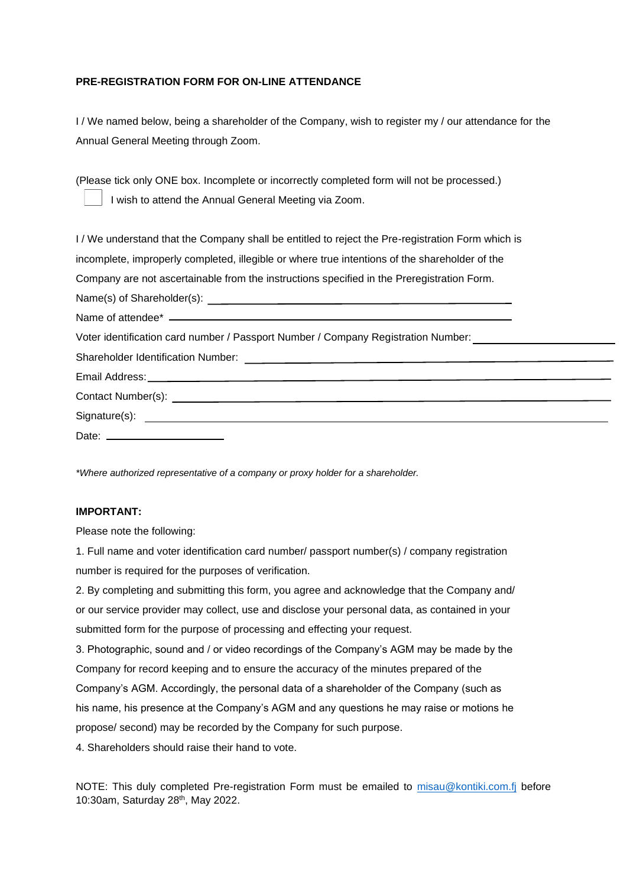### **PRE-REGISTRATION FORM FOR ON-LINE ATTENDANCE**

I / We named below, being a shareholder of the Company, wish to register my / our attendance for the Annual General Meeting through Zoom.

(Please tick only ONE box. Incomplete or incorrectly completed form will not be processed.) I wish to attend the Annual General Meeting via Zoom.

I / We understand that the Company shall be entitled to reject the Pre-registration Form which is incomplete, improperly completed, illegible or where true intentions of the shareholder of the Company are not ascertainable from the instructions specified in the Preregistration Form. Name(s) of Shareholder(s): Name of attendee\* \_\_\_\_\_ Voter identification card number / Passport Number / Company Registration Number: Shareholder Identification Number: Email Address: Contact Number(s): Signature(s): Date:

*\*Where authorized representative of a company or proxy holder for a shareholder.* 

### **IMPORTANT:**

Please note the following:

1. Full name and voter identification card number/ passport number(s) / company registration number is required for the purposes of verification.

2. By completing and submitting this form, you agree and acknowledge that the Company and/ or our service provider may collect, use and disclose your personal data, as contained in your submitted form for the purpose of processing and effecting your request.

3. Photographic, sound and / or video recordings of the Company's AGM may be made by the Company for record keeping and to ensure the accuracy of the minutes prepared of the Company's AGM. Accordingly, the personal data of a shareholder of the Company (such as his name, his presence at the Company's AGM and any questions he may raise or motions he propose/ second) may be recorded by the Company for such purpose.

4. Shareholders should raise their hand to vote.

NOTE: This duly completed Pre-registration Form must be emailed to [misau@kontiki.com.fj](mailto:misau@kontiki.com.fj) before 10:30am, Saturday 28th, May 2022.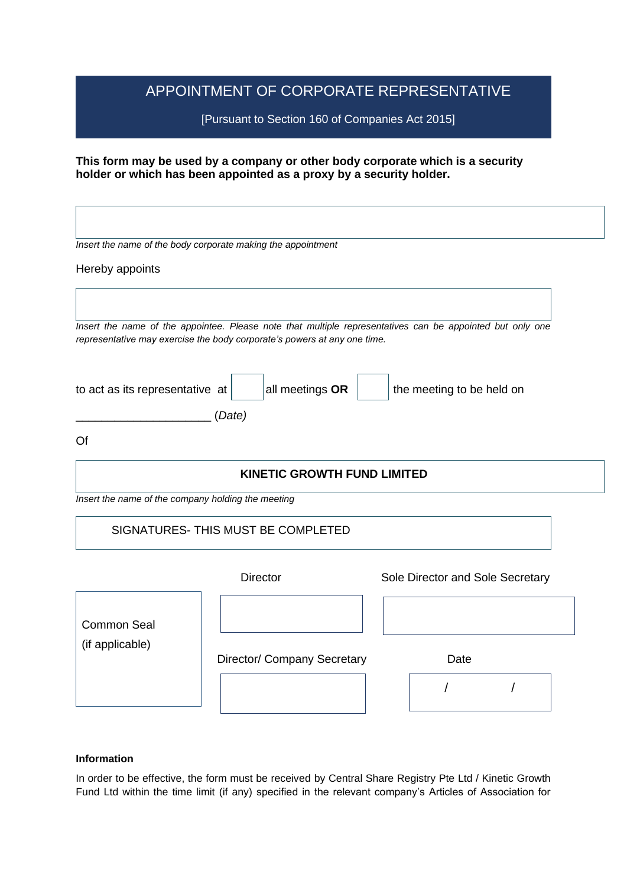# APPOINTMENT OF CORPORATE REPRESENTATIVE

[Pursuant to Section 160 of Companies Act 2015]

**This form may be used by a company or other body corporate which is a security holder or which has been appointed as a proxy by a security holder.**

|                                                                                           | Insert the name of the body corporate making the appointment                                                                                                                          |  |                                  |  |  |  |  |
|-------------------------------------------------------------------------------------------|---------------------------------------------------------------------------------------------------------------------------------------------------------------------------------------|--|----------------------------------|--|--|--|--|
| Hereby appoints                                                                           |                                                                                                                                                                                       |  |                                  |  |  |  |  |
|                                                                                           |                                                                                                                                                                                       |  |                                  |  |  |  |  |
|                                                                                           | Insert the name of the appointee. Please note that multiple representatives can be appointed but only one<br>representative may exercise the body corporate's powers at any one time. |  |                                  |  |  |  |  |
| all meetings OR<br>to act as its representative at<br>the meeting to be held on<br>(Date) |                                                                                                                                                                                       |  |                                  |  |  |  |  |
| Of                                                                                        |                                                                                                                                                                                       |  |                                  |  |  |  |  |
|                                                                                           | <b>KINETIC GROWTH FUND LIMITED</b>                                                                                                                                                    |  |                                  |  |  |  |  |
| Insert the name of the company holding the meeting                                        |                                                                                                                                                                                       |  |                                  |  |  |  |  |
|                                                                                           | SIGNATURES-THIS MUST BE COMPLETED                                                                                                                                                     |  |                                  |  |  |  |  |
|                                                                                           | <b>Director</b>                                                                                                                                                                       |  | Sole Director and Sole Secretary |  |  |  |  |
| <b>Common Seal</b>                                                                        |                                                                                                                                                                                       |  |                                  |  |  |  |  |
| (if applicable)                                                                           | Director/ Company Secretary                                                                                                                                                           |  | Date                             |  |  |  |  |
|                                                                                           |                                                                                                                                                                                       |  |                                  |  |  |  |  |
|                                                                                           |                                                                                                                                                                                       |  |                                  |  |  |  |  |

### **Information**

In order to be effective, the form must be received by Central Share Registry Pte Ltd / Kinetic Growth Fund Ltd within the time limit (if any) specified in the relevant company's Articles of Association for